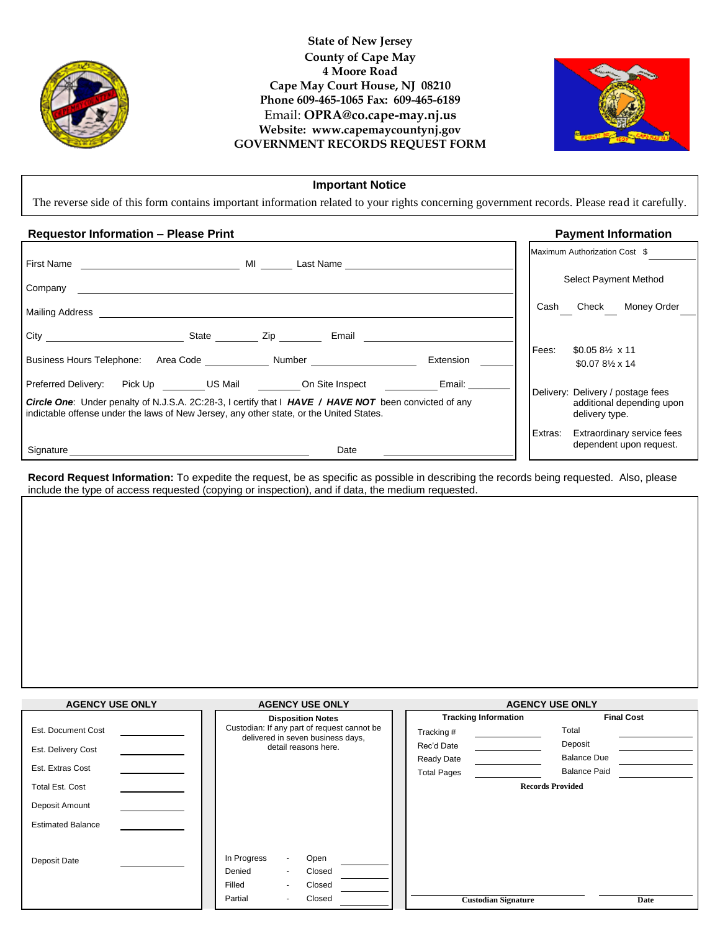

## **State of New Jersey County of Cape May 4 Moore Road Cape May Court House, NJ 08210 Phone 609-465-1065 Fax: 609-465-6189** Email: **OPRA@co.cape-may.nj.us Website: www.capemaycountynj.gov GOVERNMENT RECORDS REQUEST FORM**



## **Important Notice**

The reverse side of this form contains important information related to your rights concerning government records. Please read it carefully.

## **Requestor Information – Please Print Payment Information**

|                                                                                                                                                                                                         |                                                                                                                                                                                                                                                 |           |         | Maximum Authorization Cost \$                                                    |
|---------------------------------------------------------------------------------------------------------------------------------------------------------------------------------------------------------|-------------------------------------------------------------------------------------------------------------------------------------------------------------------------------------------------------------------------------------------------|-----------|---------|----------------------------------------------------------------------------------|
| First Name                                                                                                                                                                                              | <b>MI</b> and the set of the set of the set of the set of the set of the set of the set of the set of the set of the set of the set of the set of the set of the set of the set of the set of the set of the set of the set of the<br>Last Name |           |         |                                                                                  |
| Company                                                                                                                                                                                                 |                                                                                                                                                                                                                                                 |           |         | Select Payment Method                                                            |
| Mailing Address                                                                                                                                                                                         |                                                                                                                                                                                                                                                 |           | Cash    | Check<br>Money Order                                                             |
| State                                                                                                                                                                                                   | Email<br>Zip                                                                                                                                                                                                                                    |           |         |                                                                                  |
|                                                                                                                                                                                                         |                                                                                                                                                                                                                                                 |           | Fees:   | $$0.058\% \times 11$                                                             |
| Business Hours Telephone: Area Code ______________ Number ______________________                                                                                                                        |                                                                                                                                                                                                                                                 | Extension |         | $$0.078\% \times 14$                                                             |
| Preferred Delivery:                                                                                                                                                                                     | Pick Up <b>US Mail</b> On Site Inspect                                                                                                                                                                                                          | Email:    |         |                                                                                  |
| <b>Circle One:</b> Under penalty of N.J.S.A. 2C:28-3, I certify that I HAVE / HAVE NOT been convicted of any<br>indictable offense under the laws of New Jersey, any other state, or the United States. |                                                                                                                                                                                                                                                 |           |         | Delivery: Delivery / postage fees<br>additional depending upon<br>delivery type. |
|                                                                                                                                                                                                         |                                                                                                                                                                                                                                                 |           | Extras: | Extraordinary service fees                                                       |
| Signature                                                                                                                                                                                               | Date                                                                                                                                                                                                                                            |           |         | dependent upon request.                                                          |

**Record Request Information:** To expedite the request, be as specific as possible in describing the records being requested. Also, please include the type of access requested (copying or inspection), and if data, the medium requested.

| <b>AGENCY USE ONLY</b>   | <b>AGENCY USE ONLY</b>                                                           | <b>AGENCY USE ONLY</b>      |                         |  |
|--------------------------|----------------------------------------------------------------------------------|-----------------------------|-------------------------|--|
|                          | <b>Disposition Notes</b>                                                         | <b>Tracking Information</b> | <b>Final Cost</b>       |  |
| Est. Document Cost       | Custodian: If any part of request cannot be<br>delivered in seven business days, | Tracking #                  | Total                   |  |
| Est. Delivery Cost       | detail reasons here.                                                             | Rec'd Date                  | Deposit                 |  |
|                          |                                                                                  | Ready Date                  | <b>Balance Due</b>      |  |
| Est. Extras Cost         |                                                                                  | <b>Total Pages</b>          | <b>Balance Paid</b>     |  |
| <b>Total Est. Cost</b>   |                                                                                  |                             | <b>Records Provided</b> |  |
| Deposit Amount           |                                                                                  |                             |                         |  |
| <b>Estimated Balance</b> |                                                                                  |                             |                         |  |
|                          |                                                                                  |                             |                         |  |
| Deposit Date             | In Progress<br>Open<br>$\overline{\phantom{a}}$                                  |                             |                         |  |
|                          | Denied<br>Closed                                                                 |                             |                         |  |
|                          | Closed<br>Filled                                                                 |                             |                         |  |
|                          | Partial<br>Closed                                                                | <b>Custodian Signature</b>  | Date                    |  |